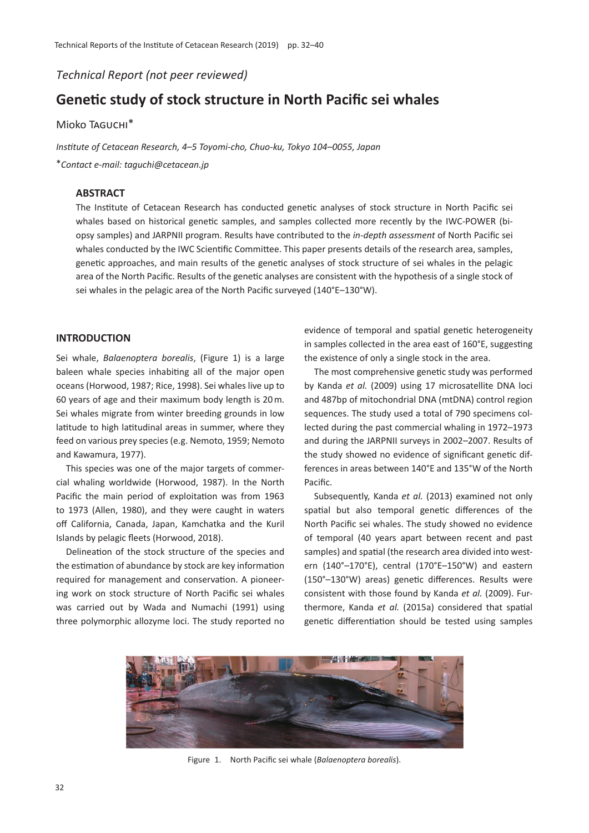*Technical Report (not peer reviewed)*

# **Genetic study of stock structure in North Pacific sei whales**

# Mioko Taguchi\*

*Institute of Cetacean Research, 4*–*5 Toyomi-cho, Chuo-ku, Tokyo 104*–*0055, Japan*

\**Contact e-mail: taguchi@cetacean.jp*

# **ABSTRACT**

The Institute of Cetacean Research has conducted genetic analyses of stock structure in North Pacific sei whales based on historical genetic samples, and samples collected more recently by the IWC-POWER (biopsy samples) and JARPNII program. Results have contributed to the *in-depth assessment* of North Pacific sei whales conducted by the IWC Scientific Committee. This paper presents details of the research area, samples, genetic approaches, and main results of the genetic analyses of stock structure of sei whales in the pelagic area of the North Pacific. Results of the genetic analyses are consistent with the hypothesis of a single stock of sei whales in the pelagic area of the North Pacific surveyed (140°E–130°W).

## **INTRODUCTION**

Sei whale, *Balaenoptera borealis*, (Figure 1) is a large baleen whale species inhabiting all of the major open oceans (Horwood, 1987; Rice, 1998). Sei whales live up to 60 years of age and their maximum body length is 20 m. Sei whales migrate from winter breeding grounds in low latitude to high latitudinal areas in summer, where they feed on various prey species (e.g. Nemoto, 1959; Nemoto and Kawamura, 1977).

This species was one of the major targets of commercial whaling worldwide (Horwood, 1987). In the North Pacific the main period of exploitation was from 1963 to 1973 (Allen, 1980), and they were caught in waters off California, Canada, Japan, Kamchatka and the Kuril Islands by pelagic fleets (Horwood, 2018).

Delineation of the stock structure of the species and the estimation of abundance by stock are key information required for management and conservation. A pioneering work on stock structure of North Pacific sei whales was carried out by Wada and Numachi (1991) using three polymorphic allozyme loci. The study reported no

evidence of temporal and spatial genetic heterogeneity in samples collected in the area east of 160°E, suggesting the existence of only a single stock in the area.

The most comprehensive genetic study was performed by Kanda *et al.* (2009) using 17 microsatellite DNA loci and 487bp of mitochondrial DNA (mtDNA) control region sequences. The study used a total of 790 specimens collected during the past commercial whaling in 1972–1973 and during the JARPNII surveys in 2002–2007. Results of the study showed no evidence of significant genetic differences in areas between 140°E and 135°W of the North Pacific.

Subsequently, Kanda *et al.* (2013) examined not only spatial but also temporal genetic differences of the North Pacific sei whales. The study showed no evidence of temporal (40 years apart between recent and past samples) and spatial (the research area divided into western (140°–170°E), central (170°E–150°W) and eastern (150°–130°W) areas) genetic differences. Results were consistent with those found by Kanda *et al.* (2009). Furthermore, Kanda *et al.* (2015a) considered that spatial genetic differentiation should be tested using samples



Figure 1. North Pacific sei whale (*Balaenoptera borealis*).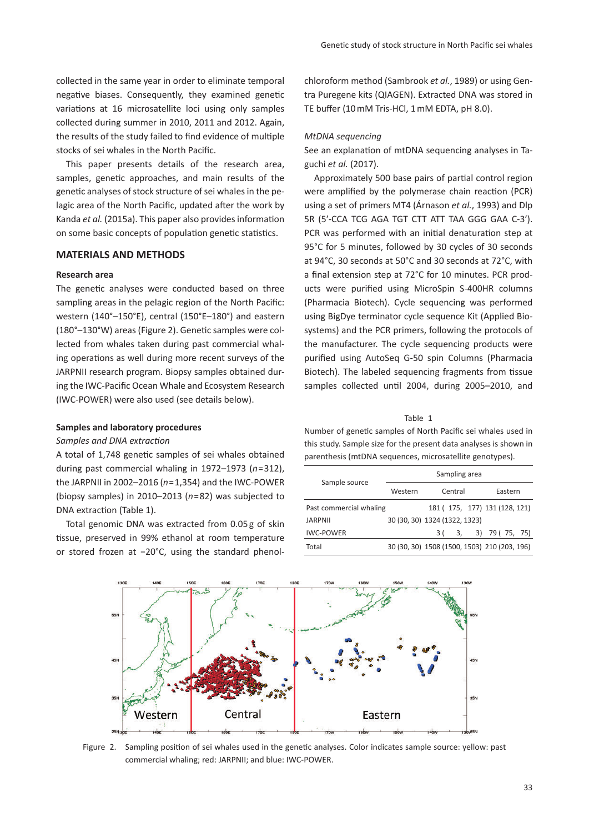collected in the same year in order to eliminate temporal negative biases. Consequently, they examined genetic variations at 16 microsatellite loci using only samples collected during summer in 2010, 2011 and 2012. Again, the results of the study failed to find evidence of multiple stocks of sei whales in the North Pacific.

This paper presents details of the research area, samples, genetic approaches, and main results of the genetic analyses of stock structure of sei whales in the pelagic area of the North Pacific, updated after the work by Kanda *et al.* (2015a). This paper also provides information on some basic concepts of population genetic statistics.

# **MATERIALS AND METHODS**

# **Research area**

The genetic analyses were conducted based on three sampling areas in the pelagic region of the North Pacific: western (140°–150°E), central (150°E–180°) and eastern (180°–130°W) areas (Figure 2). Genetic samples were collected from whales taken during past commercial whaling operations as well during more recent surveys of the JARPNII research program. Biopsy samples obtained during the IWC-Pacific Ocean Whale and Ecosystem Research (IWC-POWER) were also used (see details below).

# **Samples and laboratory procedures**

#### *Samples and DNA extraction*

A total of 1,748 genetic samples of sei whales obtained during past commercial whaling in 1972–1973 (*n*=312), the JARPNII in 2002–2016 (*n*=1,354) and the IWC-POWER (biopsy samples) in 2010–2013 (*n*=82) was subjected to DNA extraction (Table 1).

Total genomic DNA was extracted from 0.05 g of skin tissue, preserved in 99% ethanol at room temperature or stored frozen at −20°C, using the standard phenolchloroform method (Sambrook *et al.*, 1989) or using Gentra Puregene kits (QIAGEN). Extracted DNA was stored in TE buffer (10 mM Tris-HCl, 1 mM EDTA, pH 8.0).

#### *MtDNA sequencing*

See an explanation of mtDNA sequencing analyses in Taguchi *et al.* (2017).

Approximately 500 base pairs of partial control region were amplified by the polymerase chain reaction (PCR) using a set of primers MT4 (Árnason *et al.*, 1993) and Dlp 5R (5ʹ-CCA TCG AGA TGT CTT ATT TAA GGG GAA C-3ʹ). PCR was performed with an initial denaturation step at 95°C for 5 minutes, followed by 30 cycles of 30 seconds at 94°C, 30 seconds at 50°C and 30 seconds at 72°C, with a final extension step at 72°C for 10 minutes. PCR products were purified using MicroSpin S-400HR columns (Pharmacia Biotech). Cycle sequencing was performed using BigDye terminator cycle sequence Kit (Applied Biosystems) and the PCR primers, following the protocols of the manufacturer. The cycle sequencing products were purified using AutoSeq G-50 spin Columns (Pharmacia Biotech). The labeled sequencing fragments from tissue samples collected until 2004, during 2005–2010, and

Table 1

Number of genetic samples of North Pacific sei whales used in this study. Sample size for the present data analyses is shown in parenthesis (mtDNA sequences, microsatellite genotypes).

|                         | Sampling area                                |         |  |    |                               |         |  |  |  |  |  |
|-------------------------|----------------------------------------------|---------|--|----|-------------------------------|---------|--|--|--|--|--|
| Sample source           | Western                                      | Central |  |    |                               | Eastern |  |  |  |  |  |
| Past commercial whaling |                                              |         |  |    | 181 (175, 177) 131 (128, 121) |         |  |  |  |  |  |
| <b>JARPNII</b>          | 30 (30, 30) 1324 (1322, 1323)                |         |  |    |                               |         |  |  |  |  |  |
| <b>IWC-POWER</b>        |                                              | 3 (     |  | 3, | 3) 79 (75, 75)                |         |  |  |  |  |  |
| Total                   | 30 (30, 30) 1508 (1500, 1503) 210 (203, 196) |         |  |    |                               |         |  |  |  |  |  |



Figure 2. Sampling position of sei whales used in the genetic analyses. Color indicates sample source: yellow: past commercial whaling; red: JARPNII; and blue: IWC-POWER.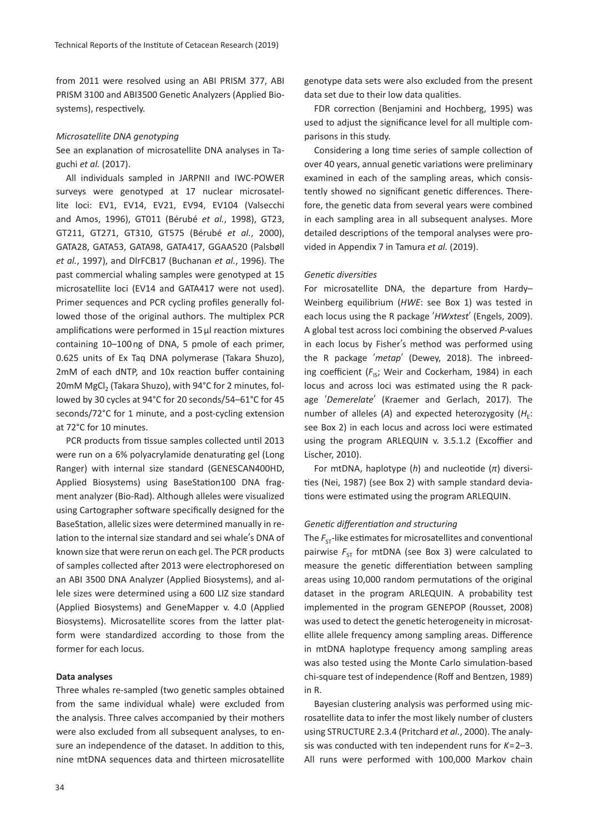from 2011 were resolved using an ABI PRISM 377, ABI PRISM 3100 and ABI3500 Genetic Analyzers (Applied Biosystems), respectively.

#### *Microsatellite DNA genotyping*

See an explanation of microsatellite DNA analyses in Taguchi *et al.* (2017).

All individuals sampled in JARPNII and IWC-POWER surveys were genotyped at 17 nuclear microsatellite loci: EV1, EV14, EV21, EV94, EV104 (Valsecchi and Amos, 1996), GT011 (Bérubé *et al.*, 1998), GT23, GT211, GT271, GT310, GT575 (Bérubé *et al.*, 2000), GATA28, GATA53, GATA98, GATA417, GGAA520 (Palsbøll *et al.*, 1997), and DlrFCB17 (Buchanan *et al.*, 1996). The past commercial whaling samples were genotyped at 15 microsatellite loci (EV14 and GATA417 were not used). Primer sequences and PCR cycling profiles generally followed those of the original authors. The multiplex PCR amplifications were performed in 15 µl reaction mixtures containing 10–100 ng of DNA, 5 pmole of each primer, 0.625 units of Ex Taq DNA polymerase (Takara Shuzo), 2mM of each dNTP, and 10x reaction buffer containing 20mM MgCl<sub>3</sub> (Takara Shuzo), with 94°C for 2 minutes, followed by 30 cycles at 94°C for 20 seconds/54–61°C for 45 seconds/72°C for 1 minute, and a post-cycling extension at 72°C for 10 minutes.

PCR products from tissue samples collected until 2013 were run on a 6% polyacrylamide denaturating gel (Long Ranger) with internal size standard (GENESCAN400HD, Applied Biosystems) using BaseStation100 DNA fragment analyzer (Bio-Rad). Although alleles were visualized using Cartographer software specifically designed for the BaseStation, allelic sizes were determined manually in relation to the internal size standard and sei whale's DNA of known size that were rerun on each gel. The PCR products of samples collected after 2013 were electrophoresed on an ABI 3500 DNA Analyzer (Applied Biosystems), and allele sizes were determined using a 600 LIZ size standard (Applied Biosystems) and GeneMapper v. 4.0 (Applied Biosystems). Microsatellite scores from the latter platform were standardized according to those from the former for each locus.

# **Data analyses**

Three whales re-sampled (two genetic samples obtained from the same individual whale) were excluded from the analysis. Three calves accompanied by their mothers were also excluded from all subsequent analyses, to ensure an independence of the dataset. In addition to this, nine mtDNA sequences data and thirteen microsatellite

genotype data sets were also excluded from the present data set due to their low data qualities.

FDR correction (Benjamini and Hochberg, 1995) was used to adjust the significance level for all multiple comparisons in this study.

Considering a long time series of sample collection of over 40 years, annual genetic variations were preliminary examined in each of the sampling areas, which consistently showed no significant genetic differences. Therefore, the genetic data from several years were combined in each sampling area in all subsequent analyses. More detailed descriptions of the temporal analyses were provided in Appendix 7 in Tamura *et al.* (2019).

# *Genetic diversities*

For microsatellite DNA, the departure from Hardy– Weinberg equilibrium (*HWE*: see Box 1) was tested in each locus using the R package ʻ*HWxtest*' (Engels, 2009). A global test across loci combining the observed *P*-values in each locus by Fisher's method was performed using the R package ʻ*metap*' (Dewey, 2018). The inbreeding coefficient (F<sub>IS</sub>; Weir and Cockerham, 1984) in each locus and across loci was estimated using the R package ʻ*Demerelate*' (Kraemer and Gerlach, 2017). The number of alleles (A) and expected heterozygosity  $(H_{\varepsilon})$ : see Box 2) in each locus and across loci were estimated using the program ARLEQUIN v. 3.5.1.2 (Excoffier and Lischer, 2010).

For mtDNA, haplotype (*h*) and nucleotide (*π*) diversities (Nei, 1987) (see Box 2) with sample standard deviations were estimated using the program ARLEQUIN.

#### *Genetic differentiation and structuring*

The  $F_{ST}$ -like estimates for microsatellites and conventional pairwise  $F_{ST}$  for mtDNA (see Box 3) were calculated to measure the genetic differentiation between sampling areas using 10,000 random permutations of the original dataset in the program ARLEQUIN. A probability test implemented in the program GENEPOP (Rousset, 2008) was used to detect the genetic heterogeneity in microsatellite allele frequency among sampling areas. Difference in mtDNA haplotype frequency among sampling areas was also tested using the Monte Carlo simulation-based chi-square test of independence (Roff and Bentzen, 1989) in R.

Bayesian clustering analysis was performed using microsatellite data to infer the most likely number of clusters using STRUCTURE 2.3.4 (Pritchard *et al.*, 2000). The analysis was conducted with ten independent runs for *K*=2–3. All runs were performed with 100,000 Markov chain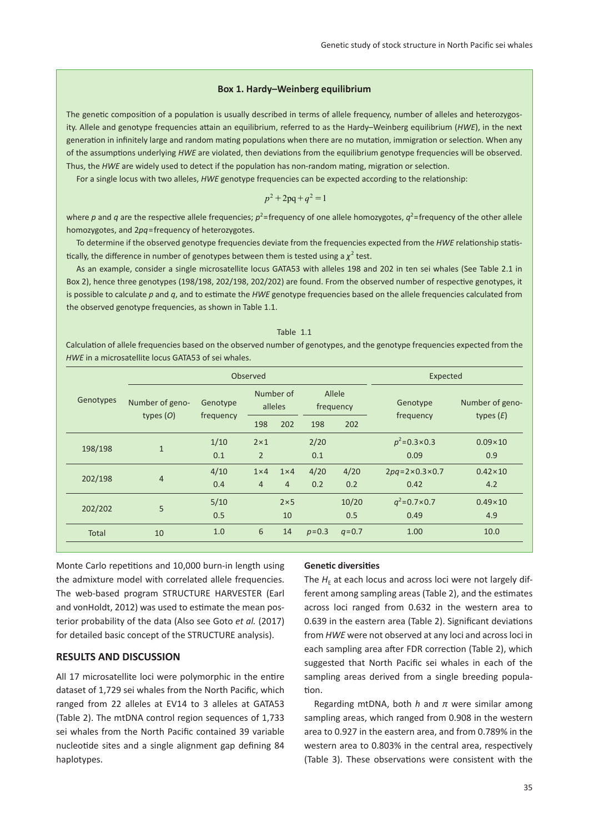# **Box 1. Hardy–Weinberg equilibrium**

The genetic composition of a population is usually described in terms of allele frequency, number of alleles and heterozygosity. Allele and genotype frequencies attain an equilibrium, referred to as the Hardy–Weinberg equilibrium (*HWE*), in the next generation in infinitely large and random mating populations when there are no mutation, immigration or selection. When any of the assumptions underlying *HWE* are violated, then deviations from the equilibrium genotype frequencies will be observed. Thus, the *HWE* are widely used to detect if the population has non-random mating, migration or selection.

For a single locus with two alleles, *HWE* genotype frequencies can be expected according to the relationship:

$$
p^2 + 2pq + q^2 = 1
$$

where p and q are the respective allele frequencies;  $p^2$ =frequency of one allele homozygotes,  $q^2$ =frequency of the other allele homozygotes, and 2*pq*=frequency of heterozygotes.

To determine if the observed genotype frequencies deviate from the frequencies expected from the *HWE* relationship statistically, the difference in number of genotypes between them is tested using a  $\chi^2$  test.

As an example, consider a single microsatellite locus GATA53 with alleles 198 and 202 in ten sei whales (See Table 2.1 in Box 2), hence three genotypes (198/198, 202/198, 202/202) are found. From the observed number of respective genotypes, it is possible to calculate *p* and *q*, and to estimate the *HWE* genotype frequencies based on the allele frequencies calculated from the observed genotype frequencies, as shown in Table 1.1.

#### Table 1.1

Calculation of allele frequencies based on the observed number of genotypes, and the genotype frequencies expected from the *HWE* in a microsatellite locus GATA53 of sei whales.

|              |                 | Observed  |                | Expected             |           |                     |                                 |                  |  |
|--------------|-----------------|-----------|----------------|----------------------|-----------|---------------------|---------------------------------|------------------|--|
| Genotypes    | Number of geno- | Genotype  |                | Number of<br>alleles |           | Allele<br>frequency | Genotype                        | Number of geno-  |  |
|              | types $(O)$     | frequency | 198            | 202                  | 198       | 202                 | frequency                       | types $(E)$      |  |
| 198/198      | $\mathbf{1}$    | 1/10      | $2 \times 1$   |                      | 2/20      |                     | $p^2$ =0.3×0.3                  | $0.09 \times 10$ |  |
|              |                 | 0.1       | $\overline{2}$ |                      | 0.1       |                     | 0.09                            | 0.9              |  |
|              |                 | 4/10      | $1\times4$     | $1\times 4$          | 4/20      | 4/20                | $2pq = 2 \times 0.3 \times 0.7$ | $0.42 \times 10$ |  |
| 202/198      | $\overline{4}$  | 0.4       | $\overline{4}$ | $\overline{4}$       | 0.2       | 0.2                 | 0.42                            | 4.2              |  |
| 202/202      |                 | 5/10      |                | $2\times 5$          |           | 10/20               | $q^2$ =0.7×0.7                  | $0.49 \times 10$ |  |
|              | 5               | 0.5       |                | 10                   |           | 0.5                 | 0.49                            | 4.9              |  |
| <b>Total</b> | 10              | 1.0       | 6              | 14                   | $p = 0.3$ | $q = 0.7$           | 1.00                            | 10.0             |  |

Monte Carlo repetitions and 10,000 burn-in length using the admixture model with correlated allele frequencies. The web-based program STRUCTURE HARVESTER (Earl and vonHoldt, 2012) was used to estimate the mean posterior probability of the data (Also see Goto *et al.* (2017) for detailed basic concept of the STRUCTURE analysis).

# **RESULTS AND DISCUSSION**

All 17 microsatellite loci were polymorphic in the entire dataset of 1,729 sei whales from the North Pacific, which ranged from 22 alleles at EV14 to 3 alleles at GATA53 (Table 2). The mtDNA control region sequences of 1,733 sei whales from the North Pacific contained 39 variable nucleotide sites and a single alignment gap defining 84 haplotypes.

#### **Genetic diversities**

The  $H<sub>E</sub>$  at each locus and across loci were not largely different among sampling areas (Table 2), and the estimates across loci ranged from 0.632 in the western area to 0.639 in the eastern area (Table 2). Significant deviations from *HWE* were not observed at any loci and across loci in each sampling area after FDR correction (Table 2), which suggested that North Pacific sei whales in each of the sampling areas derived from a single breeding population.

Regarding mtDNA, both *h* and *π* were similar among sampling areas, which ranged from 0.908 in the western area to 0.927 in the eastern area, and from 0.789% in the western area to 0.803% in the central area, respectively (Table 3). These observations were consistent with the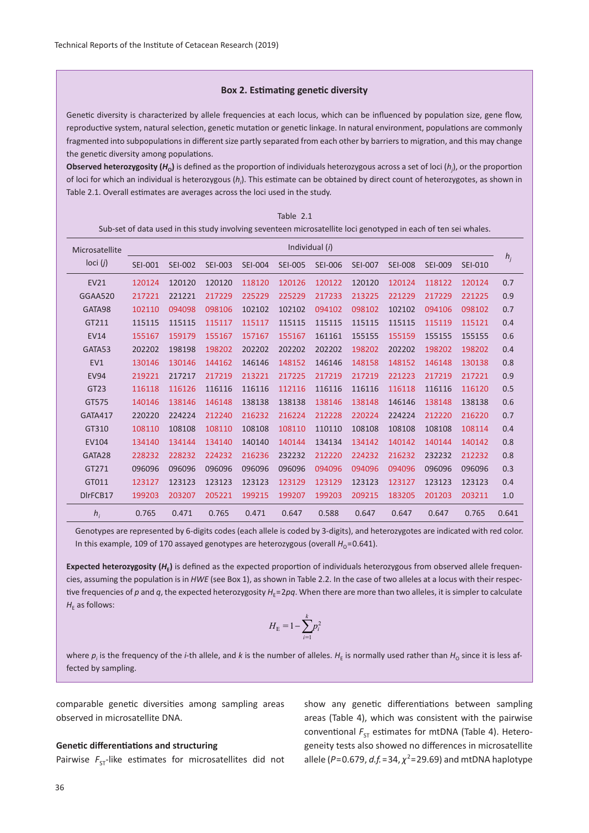#### **Box 2. Estimating genetic diversity**

Genetic diversity is characterized by allele frequencies at each locus, which can be influenced by population size, gene flow, reproductive system, natural selection, genetic mutation or genetic linkage. In natural environment, populations are commonly fragmented into subpopulations in different size partly separated from each other by barriers to migration, and this may change the genetic diversity among populations.

**Observed heterozygosity (***H***O)** is defined as the proportion of individuals heterozygous across a set of loci (*h<sup>j</sup>* ), or the proportion of loci for which an individual is heterozygous (*hi* ). This estimate can be obtained by direct count of heterozygotes, as shown in Table 2.1. Overall estimates are averages across the loci used in the study.

| Sub-set of data used in this study involving seventeen microsatellite loci genotyped in each of ten sei whales. |                |                |                |                |                |                |                |                |                |                |       |  |  |  |  |
|-----------------------------------------------------------------------------------------------------------------|----------------|----------------|----------------|----------------|----------------|----------------|----------------|----------------|----------------|----------------|-------|--|--|--|--|
| Microsatellite                                                                                                  |                | Individual (i) |                |                |                |                |                |                |                |                |       |  |  |  |  |
| loci $(j)$                                                                                                      | <b>SEI-001</b> | <b>SEI-002</b> | <b>SEI-003</b> | <b>SEI-004</b> | <b>SEI-005</b> | <b>SEI-006</b> | <b>SEI-007</b> | <b>SEI-008</b> | <b>SEI-009</b> | <b>SEI-010</b> | $h_i$ |  |  |  |  |
| <b>EV21</b>                                                                                                     | 120124         | 120120         | 120120         | 118120         | 120126         | 120122         | 120120         | 120124         | 118122         | 120124         | 0.7   |  |  |  |  |
| GGAA520                                                                                                         | 217221         | 221221         | 217229         | 225229         | 225229         | 217233         | 213225         | 221229         | 217229         | 221225         | 0.9   |  |  |  |  |
| GATA98                                                                                                          | 102110         | 094098         | 098106         | 102102         | 102102         | 094102         | 098102         | 102102         | 094106         | 098102         | 0.7   |  |  |  |  |
| GT211                                                                                                           | 115115         | 115115         | 115117         | 115117         | 115115         | 115115         | 115115         | 115115         | 115119         | 115121         | 0.4   |  |  |  |  |
| <b>EV14</b>                                                                                                     | 155167         | 159179         | 155167         | 157167         | 155167         | 161161         | 155155         | 155159         | 155155         | 155155         | 0.6   |  |  |  |  |
| GATA53                                                                                                          | 202202         | 198198         | 198202         | 202202         | 202202         | 202202         | 198202         | 202202         | 198202         | 198202         | 0.4   |  |  |  |  |
| EV1                                                                                                             | 130146         | 130146         | 144162         | 146146         | 148152         | 146146         | 148158         | 148152         | 146148         | 130138         | 0.8   |  |  |  |  |
| <b>EV94</b>                                                                                                     | 219221         | 217217         | 217219         | 213221         | 217225         | 217219         | 217219         | 221223         | 217219         | 217221         | 0.9   |  |  |  |  |
| GT23                                                                                                            | 116118         | 116126         | 116116         | 116116         | 112116         | 116116         | 116116         | 116118         | 116116         | 116120         | 0.5   |  |  |  |  |
| GT575                                                                                                           | 140146         | 138146         | 146148         | 138138         | 138138         | 138146         | 138148         | 146146         | 138148         | 138138         | 0.6   |  |  |  |  |
| <b>GATA417</b>                                                                                                  | 220220         | 224224         | 212240         | 216232         | 216224         | 212228         | 220224         | 224224         | 212220         | 216220         | 0.7   |  |  |  |  |
| GT310                                                                                                           | 108110         | 108108         | 108110         | 108108         | 108110         | 110110         | 108108         | 108108         | 108108         | 108114         | 0.4   |  |  |  |  |
| EV104                                                                                                           | 134140         | 134144         | 134140         | 140140         | 140144         | 134134         | 134142         | 140142         | 140144         | 140142         | 0.8   |  |  |  |  |
| GATA28                                                                                                          | 228232         | 228232         | 224232         | 216236         | 232232         | 212220         | 224232         | 216232         | 232232         | 212232         | 0.8   |  |  |  |  |
| GT271                                                                                                           | 096096         | 096096         | 096096         | 096096         | 096096         | 094096         | 094096         | 094096         | 096096         | 096096         | 0.3   |  |  |  |  |
| GT011                                                                                                           | 123127         | 123123         | 123123         | 123123         | 123129         | 123129         | 123123         | 123127         | 123123         | 123123         | 0.4   |  |  |  |  |
| DIrFCB17                                                                                                        | 199203         | 203207         | 205221         | 199215         | 199207         | 199203         | 209215         | 183205         | 201203         | 203211         | 1.0   |  |  |  |  |
| $h_i$                                                                                                           | 0.765          | 0.471          | 0.765          | 0.471          | 0.647          | 0.588          | 0.647          | 0.647          | 0.647          | 0.765          | 0.641 |  |  |  |  |

Table 2.1

Genotypes are represented by 6-digits codes (each allele is coded by 3-digits), and heterozygotes are indicated with red color. In this example, 109 of 170 assayed genotypes are heterozygous (overall  $H_0$ =0.641).

Expected heterozygosity ( $H_F$ ) is defined as the expected proportion of individuals heterozygous from observed allele frequencies, assuming the population is in *HWE* (see Box 1), as shown in Table 2.2. In the case of two alleles at a locus with their respective frequencies of p and q, the expected heterozygosity  $H<sub>E</sub>=2pq$ . When there are more than two alleles, it is simpler to calculate  $H<sub>F</sub>$  as follows:

$$
H_{\rm E} = 1 - \sum_{i=1}^{k} p_i^2
$$

where  $p_i$  is the frequency of the *i*-th allele, and *k* is the number of alleles.  $H_\epsilon$  is normally used rather than  $H_\mathrm{o}$  since it is less affected by sampling.

comparable genetic diversities among sampling areas observed in microsatellite DNA.

#### **Genetic differentiations and structuring**

Pairwise  $F_{ST}$ -like estimates for microsatellites did not

show any genetic differentiations between sampling areas (Table 4), which was consistent with the pairwise conventional  $F_{ST}$  estimates for mtDNA (Table 4). Heterogeneity tests also showed no differences in microsatellite allele ( $P = 0.679$ ,  $d.f. = 34$ ,  $\chi^2 = 29.69$ ) and mtDNA haplotype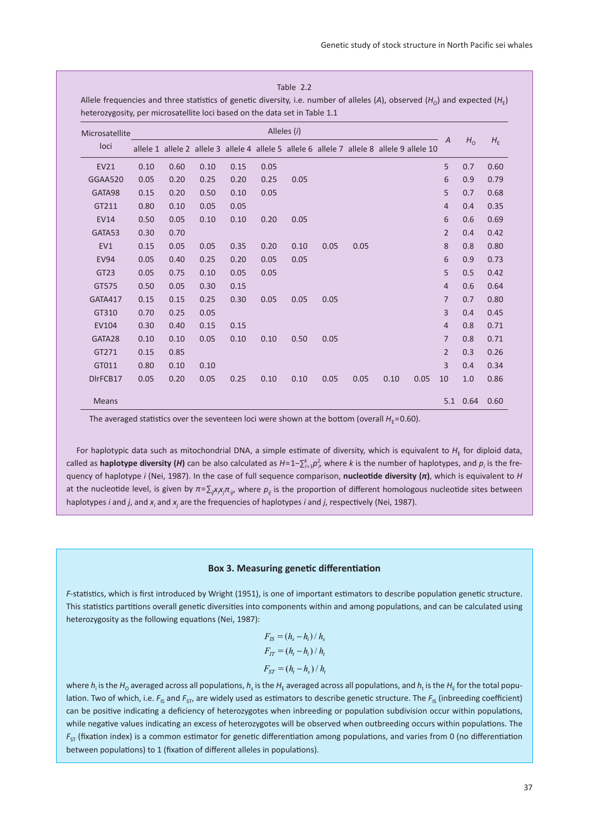| Alleles (i)<br>Microsatellite |      |      |      |      |      |      |      |      |                                                                                            |      |                |                |         |
|-------------------------------|------|------|------|------|------|------|------|------|--------------------------------------------------------------------------------------------|------|----------------|----------------|---------|
| loci                          |      |      |      |      |      |      |      |      | allele 1 allele 2 allele 3 allele 4 allele 5 allele 6 allele 7 allele 8 allele 9 allele 10 |      | $\overline{A}$ | H <sub>o</sub> | $H_{E}$ |
| EV21                          | 0.10 | 0.60 | 0.10 | 0.15 | 0.05 |      |      |      |                                                                                            |      | 5              | 0.7            | 0.60    |
| GGAA520                       | 0.05 | 0.20 | 0.25 | 0.20 | 0.25 | 0.05 |      |      |                                                                                            |      | 6              | 0.9            | 0.79    |
| GATA98                        | 0.15 | 0.20 | 0.50 | 0.10 | 0.05 |      |      |      |                                                                                            |      | 5              | 0.7            | 0.68    |
| GT211                         | 0.80 | 0.10 | 0.05 | 0.05 |      |      |      |      |                                                                                            |      | $\overline{4}$ | 0.4            | 0.35    |
| <b>EV14</b>                   | 0.50 | 0.05 | 0.10 | 0.10 | 0.20 | 0.05 |      |      |                                                                                            |      | 6              | 0.6            | 0.69    |
| GATA53                        | 0.30 | 0.70 |      |      |      |      |      |      |                                                                                            |      | $\overline{2}$ | 0.4            | 0.42    |
| EV1                           | 0.15 | 0.05 | 0.05 | 0.35 | 0.20 | 0.10 | 0.05 | 0.05 |                                                                                            |      | 8              | 0.8            | 0.80    |
| <b>EV94</b>                   | 0.05 | 0.40 | 0.25 | 0.20 | 0.05 | 0.05 |      |      |                                                                                            |      | 6              | 0.9            | 0.73    |
| GT23                          | 0.05 | 0.75 | 0.10 | 0.05 | 0.05 |      |      |      |                                                                                            |      | 5              | 0.5            | 0.42    |
| GT575                         | 0.50 | 0.05 | 0.30 | 0.15 |      |      |      |      |                                                                                            |      | 4              | 0.6            | 0.64    |
| <b>GATA417</b>                | 0.15 | 0.15 | 0.25 | 0.30 | 0.05 | 0.05 | 0.05 |      |                                                                                            |      | $\overline{7}$ | 0.7            | 0.80    |
| GT310                         | 0.70 | 0.25 | 0.05 |      |      |      |      |      |                                                                                            |      | 3              | 0.4            | 0.45    |
| EV104                         | 0.30 | 0.40 | 0.15 | 0.15 |      |      |      |      |                                                                                            |      | $\overline{4}$ | 0.8            | 0.71    |
| GATA28                        | 0.10 | 0.10 | 0.05 | 0.10 | 0.10 | 0.50 | 0.05 |      |                                                                                            |      | $\overline{7}$ | 0.8            | 0.71    |
| GT271                         | 0.15 | 0.85 |      |      |      |      |      |      |                                                                                            |      | $\overline{2}$ | 0.3            | 0.26    |
| GT011                         | 0.80 | 0.10 | 0.10 |      |      |      |      |      |                                                                                            |      | 3              | 0.4            | 0.34    |
| DIrFCB17                      | 0.05 | 0.20 | 0.05 | 0.25 | 0.10 | 0.10 | 0.05 | 0.05 | 0.10                                                                                       | 0.05 | 10             | 1.0            | 0.86    |

Table 2.2

The averaged statistics over the seventeen loci were shown at the bottom (overall  $H_F$ =0.60).

For haplotypic data such as mitochondrial DNA, a simple estimate of diversity, which is equivalent to  $H<sub>E</sub>$  for diploid data, called as haplotype diversity (*H*) can be also calculated as  $H=1-\sum_{i=1}^k p_i^2$  where *k* is the number of haplotypes, and  $p_i$  is the frequency of haplotype *i* (Nei, 1987). In the case of full sequence comparison, **nucleotide diversity (***π***)**, which is equivalent to *H* at the nucleotide level, is given by *π*=∑<sub>*ij××jπ<sub>ij</sub>,* where *p<sub>ij</sub>* is the proportion of different homologous nucleotide sites between</sub> haplotypes *i* and *j*, and  $x_i$  and  $x_j$  are the frequencies of haplotypes *i* and *j*, respectively (Nei, 1987).

# **Box 3. Measuring genetic differentiation**

*F*-statistics, which is first introduced by Wright (1951), is one of important estimators to describe population genetic structure. This statistics partitions overall genetic diversities into components within and among populations, and can be calculated using heterozygosity as the following equations (Nei, 1987):

$$
F_{IS} = (h_s - h_i) / h_s
$$
  
\n
$$
F_{IT} = (h_t - h_i) / h_t
$$
  
\n
$$
F_{ST} = (h_t - h_s) / h_t
$$

where  $h_i$  is the  $H_0$  averaged across all populations,  $h_\varsigma$  is the  $H_{\rm E}$  averaged across all populations, and  $h_{\rm t}$  is the  $H_{\rm E}$  for the total population. Two of which, i.e. F<sub>IS</sub> and F<sub>ST</sub>, are widely used as estimators to describe genetic structure. The F<sub>IS</sub> (inbreeding coefficient) can be positive indicating a deficiency of heterozygotes when inbreeding or population subdivision occur within populations, while negative values indicating an excess of heterozygotes will be observed when outbreeding occurs within populations. The *F*<sub>ST</sub> (fixation index) is a common estimator for genetic differentiation among populations, and varies from 0 (no differentiation between populations) to 1 (fixation of different alleles in populations).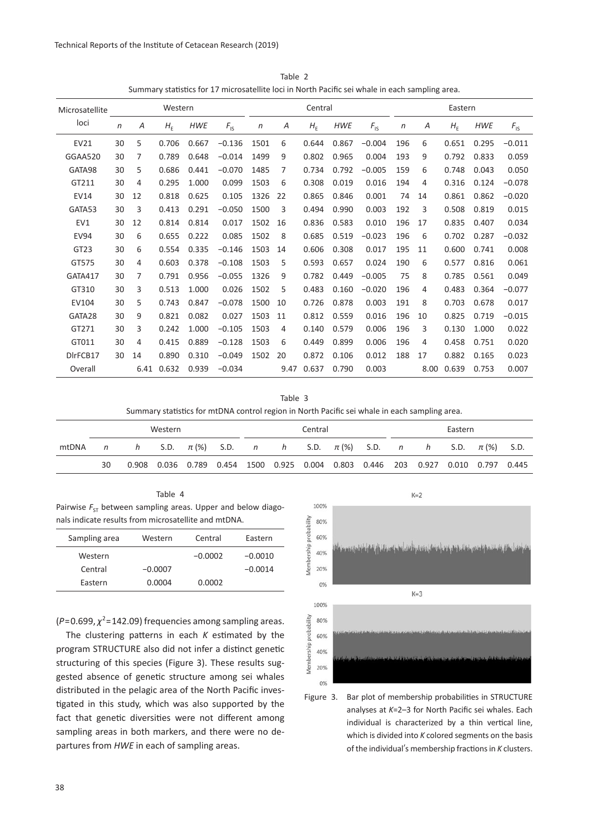Technical Reports of the Institute of Cetacean Research (2019)

|                  | $\sim$ . The power medical matrix of the sense of the sense in extension for the sense of $\sim$ |      |         |            |                 |      |         |         |            |                 |         |      |         |            |                 |
|------------------|--------------------------------------------------------------------------------------------------|------|---------|------------|-----------------|------|---------|---------|------------|-----------------|---------|------|---------|------------|-----------------|
| Microsatellite   |                                                                                                  |      | Western |            |                 |      | Central |         |            |                 | Eastern |      |         |            |                 |
| loci             | $\boldsymbol{n}$                                                                                 | Α    | $H_{E}$ | <b>HWE</b> | $F_{\text{IS}}$ | n    | Α       | $H_{E}$ | <b>HWE</b> | $F_{\text{IS}}$ | $\eta$  | Α    | $H_{E}$ | <b>HWE</b> | $F_{\text{IS}}$ |
| EV21             | 30                                                                                               | 5    | 0.706   | 0.667      | $-0.136$        | 1501 | 6       | 0.644   | 0.867      | $-0.004$        | 196     | 6    | 0.651   | 0.295      | $-0.011$        |
| GGAA520          | 30                                                                                               | 7    | 0.789   | 0.648      | $-0.014$        | 1499 | 9       | 0.802   | 0.965      | 0.004           | 193     | 9    | 0.792   | 0.833      | 0.059           |
| GATA98           | 30                                                                                               | 5    | 0.686   | 0.441      | $-0.070$        | 1485 | 7       | 0.734   | 0.792      | $-0.005$        | 159     | 6    | 0.748   | 0.043      | 0.050           |
| GT211            | 30                                                                                               | 4    | 0.295   | 1.000      | 0.099           | 1503 | 6       | 0.308   | 0.019      | 0.016           | 194     | 4    | 0.316   | 0.124      | $-0.078$        |
| EV14             | 30                                                                                               | 12   | 0.818   | 0.625      | 0.105           | 1326 | 22      | 0.865   | 0.846      | 0.001           | 74      | 14   | 0.861   | 0.862      | $-0.020$        |
| GATA53           | 30                                                                                               | 3    | 0.413   | 0.291      | $-0.050$        | 1500 | 3       | 0.494   | 0.990      | 0.003           | 192     | 3    | 0.508   | 0.819      | 0.015           |
| EV1              | 30                                                                                               | 12   | 0.814   | 0.814      | 0.017           | 1502 | 16      | 0.836   | 0.583      | 0.010           | 196     | 17   | 0.835   | 0.407      | 0.034           |
| <b>EV94</b>      | 30                                                                                               | 6    | 0.655   | 0.222      | 0.085           | 1502 | 8       | 0.685   | 0.519      | $-0.023$        | 196     | 6    | 0.702   | 0.287      | $-0.032$        |
| GT <sub>23</sub> | 30                                                                                               | 6    | 0.554   | 0.335      | $-0.146$        | 1503 | 14      | 0.606   | 0.308      | 0.017           | 195     | 11   | 0.600   | 0.741      | 0.008           |
| GT575            | 30                                                                                               | 4    | 0.603   | 0.378      | $-0.108$        | 1503 | 5       | 0.593   | 0.657      | 0.024           | 190     | 6    | 0.577   | 0.816      | 0.061           |
| <b>GATA417</b>   | 30                                                                                               | 7    | 0.791   | 0.956      | $-0.055$        | 1326 | 9       | 0.782   | 0.449      | $-0.005$        | 75      | 8    | 0.785   | 0.561      | 0.049           |
| GT310            | 30                                                                                               | 3    | 0.513   | 1.000      | 0.026           | 1502 | 5       | 0.483   | 0.160      | $-0.020$        | 196     | 4    | 0.483   | 0.364      | $-0.077$        |
| EV104            | 30                                                                                               | 5.   | 0.743   | 0.847      | $-0.078$        | 1500 | 10      | 0.726   | 0.878      | 0.003           | 191     | 8    | 0.703   | 0.678      | 0.017           |
| GATA28           | 30                                                                                               | 9    | 0.821   | 0.082      | 0.027           | 1503 | 11      | 0.812   | 0.559      | 0.016           | 196     | 10   | 0.825   | 0.719      | $-0.015$        |
| GT271            | 30                                                                                               | 3    | 0.242   | 1.000      | $-0.105$        | 1503 | 4       | 0.140   | 0.579      | 0.006           | 196     | 3    | 0.130   | 1.000      | 0.022           |
| GT011            | 30                                                                                               | 4    | 0.415   | 0.889      | $-0.128$        | 1503 | 6       | 0.449   | 0.899      | 0.006           | 196     | 4    | 0.458   | 0.751      | 0.020           |
| DIrFCB17         | 30                                                                                               | 14   | 0.890   | 0.310      | $-0.049$        | 1502 | 20      | 0.872   | 0.106      | 0.012           | 188     | 17   | 0.882   | 0.165      | 0.023           |
| Overall          |                                                                                                  | 6.41 | 0.632   | 0.939      | $-0.034$        |      | 9.47    | 0.637   | 0.790      | 0.003           |         | 8.00 | 0.639   | 0.753      | 0.007           |

Table 2 Summary statistics for 17 microsatellite loci in North Pacific sei whale in each sampling area.

Table 3

Summary statistics for mtDNA control region in North Pacific sei whale in each sampling area.

|       |                |     | Western |  | Central |  |  |  |                                                                                  | Eastern |  |  |  |  |
|-------|----------------|-----|---------|--|---------|--|--|--|----------------------------------------------------------------------------------|---------|--|--|--|--|
| mtDNA | $\overline{a}$ | h — |         |  |         |  |  |  | S.D. $\pi$ (%) S.D. n h S.D. $\pi$ (%) S.D. n h S.D. $\pi$ (%) S.D.              |         |  |  |  |  |
|       | 30             |     |         |  |         |  |  |  | 0.908 0.036 0.789 0.454 1500 0.925 0.004 0.803 0.446 203 0.927 0.010 0.797 0.445 |         |  |  |  |  |

Table 4 Pairwise  $F_{ST}$  between sampling areas. Upper and below diagonals indicate results from microsatellite and mtDNA.

| Sampling area | Western   | Central   | Eastern   |
|---------------|-----------|-----------|-----------|
| Western       |           | $-0.0002$ | $-0.0010$ |
| Central       | $-0.0007$ |           | $-0.0014$ |
| Eastern       | 0.0004    | 0.0002    |           |
|               |           |           |           |

 $(P=0.699, \chi^2=142.09)$  frequencies among sampling areas.

The clustering patterns in each *K* estimated by the program STRUCTURE also did not infer a distinct genetic structuring of this species (Figure 3). These results suggested absence of genetic structure among sei whales distributed in the pelagic area of the North Pacific investigated in this study, which was also supported by the fact that genetic diversities were not different among sampling areas in both markers, and there were no departures from *HWE* in each of sampling areas.



Figure 3. Bar plot of membership probabilities in STRUCTURE analyses at *K*=2–3 for North Pacific sei whales. Each individual is characterized by a thin vertical line, which is divided into *K* colored segments on the basis of the individual's membership fractions in *K* clusters.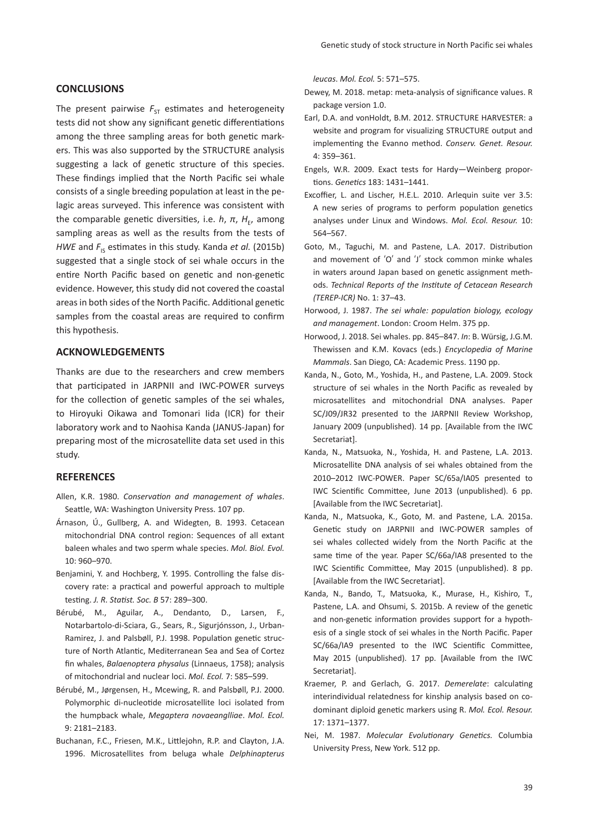# **CONCLUSIONS**

The present pairwise  $F_{ST}$  estimates and heterogeneity tests did not show any significant genetic differentiations among the three sampling areas for both genetic markers. This was also supported by the STRUCTURE analysis suggesting a lack of genetic structure of this species. These findings implied that the North Pacific sei whale consists of a single breeding population at least in the pelagic areas surveyed. This inference was consistent with the comparable genetic diversities, i.e.  $h$ ,  $\pi$ ,  $H_{F}$ , among sampling areas as well as the results from the tests of *HWE* and  $F_{\text{IS}}$  estimates in this study. Kanda *et al.* (2015b) suggested that a single stock of sei whale occurs in the entire North Pacific based on genetic and non-genetic evidence. However, this study did not covered the coastal areas in both sides of the North Pacific. Additional genetic samples from the coastal areas are required to confirm this hypothesis.

# **ACKNOWLEDGEMENTS**

Thanks are due to the researchers and crew members that participated in JARPNII and IWC-POWER surveys for the collection of genetic samples of the sei whales, to Hiroyuki Oikawa and Tomonari Iida (ICR) for their laboratory work and to Naohisa Kanda (JANUS-Japan) for preparing most of the microsatellite data set used in this study.

# **REFERENCES**

- Allen, K.R. 1980. *Conservation and management of whales*. Seattle, WA: Washington University Press. 107 pp.
- Árnason, Ú., Gullberg, A. and Widegten, B. 1993. Cetacean mitochondrial DNA control region: Sequences of all extant baleen whales and two sperm whale species. *Mol. Biol. Evol.* 10: 960–970.
- Benjamini, Y. and Hochberg, Y. 1995. Controlling the false discovery rate: a practical and powerful approach to multiple testing. *J. R. Statist. Soc. B* 57: 289–300.
- Bérubé, M., Aguilar, A., Dendanto, D., Larsen, F., Notarbartolo-di-Sciara, G., Sears, R., Sigurjónsson, J., Urban-Ramirez, J. and Palsbøll, P.J. 1998. Population genetic structure of North Atlantic, Mediterranean Sea and Sea of Cortez fin whales, *Balaenoptera physalus* (Linnaeus, 1758); analysis of mitochondrial and nuclear loci. *Mol. Ecol.* 7: 585–599.
- Bérubé, M., Jørgensen, H., Mcewing, R. and Palsbøll, P.J. 2000. Polymorphic di-nucleotide microsatellite loci isolated from the humpback whale, *Megaptera novaeanglliae*. *Mol. Ecol.* 9: 2181–2183.
- Buchanan, F.C., Friesen, M.K., Littlejohn, R.P. and Clayton, J.A. 1996. Microsatellites from beluga whale *Delphinapterus*

*leucas*. *Mol. Ecol.* 5: 571–575.

- Dewey, M. 2018. metap: meta-analysis of significance values. R package version 1.0.
- Earl, D.A. and vonHoldt, B.M. 2012. STRUCTURE HARVESTER: a website and program for visualizing STRUCTURE output and implementing the Evanno method. *Conserv. Genet. Resour.* 4: 359–361.
- Engels, W.R. 2009. Exact tests for Hardy—Weinberg proportions. *Genetics* 183: 1431–1441.
- Excoffier, L. and Lischer, H.E.L. 2010. Arlequin suite ver 3.5: A new series of programs to perform population genetics analyses under Linux and Windows. *Mol. Ecol. Resour.* 10: 564–567.
- Goto, M., Taguchi, M. and Pastene, L.A. 2017. Distribution and movement of ʻO' and ʻJ' stock common minke whales in waters around Japan based on genetic assignment methods. *Technical Reports of the Institute of Cetacean Research (TEREP-ICR)* No. 1: 37–43.
- Horwood, J. 1987. *The sei whale: population biology, ecology and management*. London: Croom Helm. 375 pp.
- Horwood, J. 2018. Sei whales. pp. 845–847. *In*: B. Würsig, J.G.M. Thewissen and K.M. Kovacs (eds.) *Encyclopedia of Marine Mammals*. San Diego, CA: Academic Press. 1190 pp.
- Kanda, N., Goto, M., Yoshida, H., and Pastene, L.A. 2009. Stock structure of sei whales in the North Pacific as revealed by microsatellites and mitochondrial DNA analyses. Paper SC/J09/JR32 presented to the JARPNII Review Workshop, January 2009 (unpublished). 14 pp. [Available from the IWC Secretariat].
- Kanda, N., Matsuoka, N., Yoshida, H. and Pastene, L.A. 2013. Microsatellite DNA analysis of sei whales obtained from the 2010–2012 IWC-POWER. Paper SC/65a/IA05 presented to IWC Scientific Committee, June 2013 (unpublished). 6 pp. [Available from the IWC Secretariat].
- Kanda, N., Matsuoka, K., Goto, M. and Pastene, L.A. 2015a. Genetic study on JARPNII and IWC-POWER samples of sei whales collected widely from the North Pacific at the same time of the year. Paper SC/66a/IA8 presented to the IWC Scientific Committee, May 2015 (unpublished). 8 pp. [Available from the IWC Secretariat].
- Kanda, N., Bando, T., Matsuoka, K., Murase, H., Kishiro, T., Pastene, L.A. and Ohsumi, S. 2015b. A review of the genetic and non-genetic information provides support for a hypothesis of a single stock of sei whales in the North Pacific. Paper SC/66a/IA9 presented to the IWC Scientific Committee, May 2015 (unpublished). 17 pp. [Available from the IWC Secretariat].
- Kraemer, P. and Gerlach, G. 2017. *Demerelate*: calculating interindividual relatedness for kinship analysis based on codominant diploid genetic markers using R. *Mol. Ecol. Resour.* 17: 1371–1377.
- Nei, M. 1987. *Molecular Evolutionary Genetics.* Columbia University Press, New York. 512 pp.